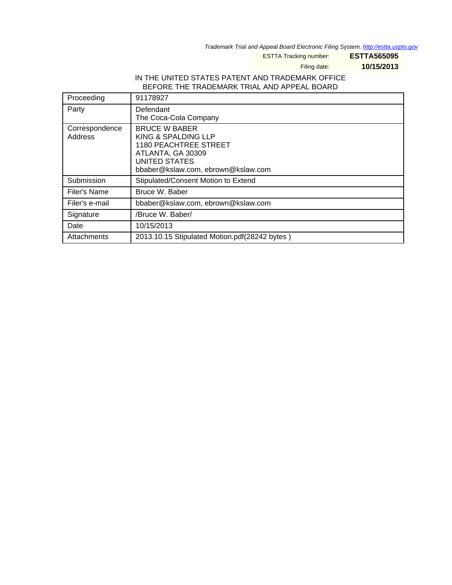Trademark Trial and Appeal Board Electronic Filing System. <http://estta.uspto.gov>

ESTTA Tracking number: **ESTTA565095**

Filing date: **10/15/2013**

#### IN THE UNITED STATES PATENT AND TRADEMARK OFFICE BEFORE THE TRADEMARK TRIAL AND APPEAL BOARD

| Proceeding                | 91178927                                                                                                                                                |
|---------------------------|---------------------------------------------------------------------------------------------------------------------------------------------------------|
| Party                     | Defendant<br>The Coca-Cola Company                                                                                                                      |
| Correspondence<br>Address | <b>BRUCE W BABER</b><br>KING & SPALDING LLP<br><b>1180 PEACHTREE STREET</b><br>ATLANTA, GA 30309<br>UNITED STATES<br>bbaber@kslaw.com, ebrown@kslaw.com |
| Submission                | Stipulated/Consent Motion to Extend                                                                                                                     |
| Filer's Name              | Bruce W. Baber                                                                                                                                          |
| Filer's e-mail            | bbaber@kslaw.com, ebrown@kslaw.com                                                                                                                      |
| Signature                 | /Bruce W. Baber/                                                                                                                                        |
| Date                      | 10/15/2013                                                                                                                                              |
| Attachments               | 2013.10.15 Stipulated Motion.pdf(28242 bytes)                                                                                                           |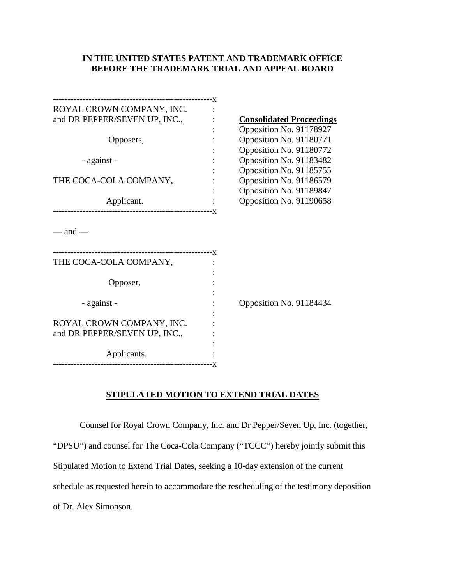### **IN THE UNITED STATES PATENT AND TRADEMARK OFFICE BEFORE THE TRADEMARK TRIAL AND APPEAL BOARD**

| ROYAL CROWN COMPANY, INC.     |                                 |
|-------------------------------|---------------------------------|
| and DR PEPPER/SEVEN UP, INC., | <b>Consolidated Proceedings</b> |
|                               | Opposition No. 91178927         |
| Opposers,                     | Opposition No. 91180771         |
|                               | Opposition No. 91180772         |
| - against -                   | Opposition No. 91183482         |
|                               | Opposition No. 91185755         |
| THE COCA-COLA COMPANY,        | Opposition No. 91186579         |
|                               | Opposition No. 91189847         |
| Applicant.                    | Opposition No. 91190658         |
|                               |                                 |
| THE COCA-COLA COMPANY,        |                                 |
|                               |                                 |
| Opposer,                      |                                 |
|                               | Opposition No. 91184434         |
| - against -                   |                                 |
| ROYAL CROWN COMPANY, INC.     |                                 |
| and DR PEPPER/SEVEN UP, INC., |                                 |
|                               |                                 |
| Applicants.                   |                                 |
|                               |                                 |

### **STIPULATED MOTION TO EXTEND TRIAL DATES**

Counsel for Royal Crown Company, Inc. and Dr Pepper/Seven Up, Inc. (together, "DPSU") and counsel for The Coca-Cola Company ("TCCC") hereby jointly submit this Stipulated Motion to Extend Trial Dates, seeking a 10-day extension of the current schedule as requested herein to accommodate the rescheduling of the testimony deposition of Dr. Alex Simonson.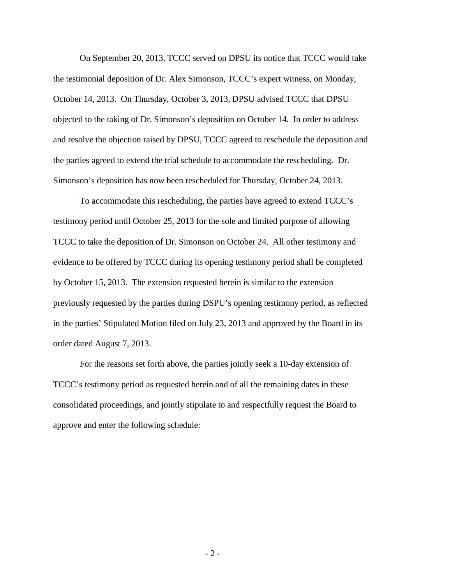On September 20, 2013, TCCC served on DPSU its notice that TCCC would take the testimonial deposition of Dr. Alex Simonson, TCCC's expert witness, on Monday, October 14, 2013. On Thursday, October 3, 2013, DPSU advised TCCC that DPSU objected to the taking of Dr. Simonson's deposition on October 14. In order to address and resolve the objection raised by DPSU, TCCC agreed to reschedule the deposition and the parties agreed to extend the trial schedule to accommodate the rescheduling. Dr. Simonson's deposition has now been rescheduled for Thursday, October 24, 2013.

To accommodate this rescheduling, the parties have agreed to extend TCCC's testimony period until October 25, 2013 for the sole and limited purpose of allowing TCCC to take the deposition of Dr. Simonson on October 24. All other testimony and evidence to be offered by TCCC during its opening testimony period shall be completed by October 15, 2013. The extension requested herein is similar to the extension previously requested by the parties during DSPU's opening testimony period, as reflected in the parties' Stipulated Motion filed on July 23, 2013 and approved by the Board in its order dated August 7, 2013.

For the reasons set forth above, the parties jointly seek a 10-day extension of TCCC's testimony period as requested herein and of all the remaining dates in these consolidated proceedings, and jointly stipulate to and respectfully request the Board to approve and enter the following schedule: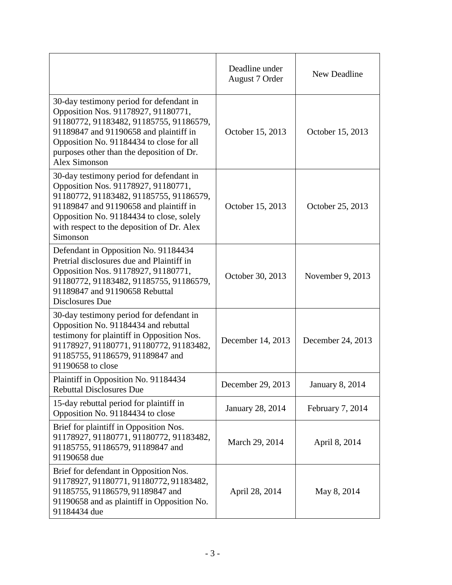|                                                                                                                                                                                                                                                                                       | Deadline under<br>August 7 Order | New Deadline           |
|---------------------------------------------------------------------------------------------------------------------------------------------------------------------------------------------------------------------------------------------------------------------------------------|----------------------------------|------------------------|
| 30-day testimony period for defendant in<br>Opposition Nos. 91178927, 91180771,<br>91180772, 91183482, 91185755, 91186579,<br>91189847 and 91190658 and plaintiff in<br>Opposition No. 91184434 to close for all<br>purposes other than the deposition of Dr.<br><b>Alex Simonson</b> | October 15, 2013                 | October 15, 2013       |
| 30-day testimony period for defendant in<br>Opposition Nos. 91178927, 91180771,<br>91180772, 91183482, 91185755, 91186579,<br>91189847 and 91190658 and plaintiff in<br>Opposition No. 91184434 to close, solely<br>with respect to the deposition of Dr. Alex<br>Simonson            | October 15, 2013                 | October 25, 2013       |
| Defendant in Opposition No. 91184434<br>Pretrial disclosures due and Plaintiff in<br>Opposition Nos. 91178927, 91180771,<br>91180772, 91183482, 91185755, 91186579,<br>91189847 and 91190658 Rebuttal<br>Disclosures Due                                                              | October 30, 2013                 | November 9, 2013       |
| 30-day testimony period for defendant in<br>Opposition No. 91184434 and rebuttal<br>testimony for plaintiff in Opposition Nos.<br>91178927, 91180771, 91180772, 91183482,<br>91185755, 91186579, 91189847 and<br>91190658 to close                                                    | December 14, 2013                | December 24, 2013      |
| Plaintiff in Opposition No. 91184434<br><b>Rebuttal Disclosures Due</b>                                                                                                                                                                                                               | December 29, 2013                | <b>January 8, 2014</b> |
| 15-day rebuttal period for plaintiff in<br>Opposition No. 91184434 to close                                                                                                                                                                                                           | January 28, 2014                 | February 7, 2014       |
| Brief for plaintiff in Opposition Nos.<br>91178927, 91180771, 91180772, 91183482,<br>91185755, 91186579, 91189847 and<br>91190658 due                                                                                                                                                 | March 29, 2014                   | April 8, 2014          |
| Brief for defendant in Opposition Nos.<br>91178927, 91180771, 91180772, 91183482,<br>91185755, 91186579, 91189847 and<br>91190658 and as plaintiff in Opposition No.<br>91184434 due                                                                                                  | April 28, 2014                   | May 8, 2014            |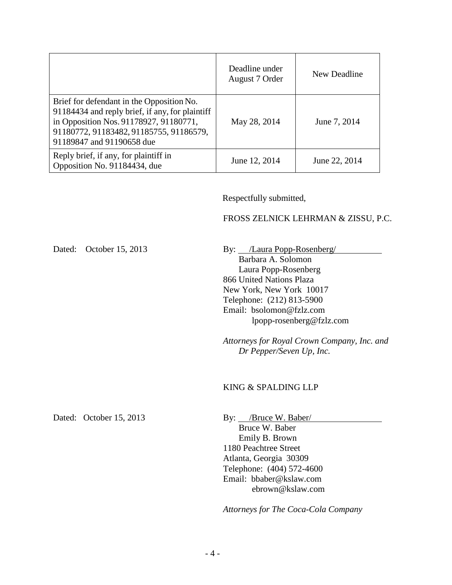|                                                                                                                                                                                                                | Deadline under<br>August 7 Order | New Deadline  |
|----------------------------------------------------------------------------------------------------------------------------------------------------------------------------------------------------------------|----------------------------------|---------------|
| Brief for defendant in the Opposition No.<br>91184434 and reply brief, if any, for plaintiff<br>in Opposition Nos. 91178927, 91180771,<br>91180772, 91183482, 91185755, 91186579,<br>91189847 and 91190658 due | May 28, 2014                     | June 7, 2014  |
| Reply brief, if any, for plaintiff in<br>Opposition No. 91184434, due                                                                                                                                          | June 12, 2014                    | June 22, 2014 |

Respectfully submitted,

# FROSS ZELNICK LEHRMAN & ZISSU, P.C.

| Dated: October 15, 2013 | By: /Laura Popp-Rosenberg/<br>Barbara A. Solomon<br>Laura Popp-Rosenberg<br>866 United Nations Plaza<br>New York, New York 10017<br>Telephone: (212) 813-5900<br>Email: bsolomon@fzlz.com<br>lpopp-rosenberg@fzlz.com |  |  |
|-------------------------|-----------------------------------------------------------------------------------------------------------------------------------------------------------------------------------------------------------------------|--|--|
|                         | Attorneys for Royal Crown Company, Inc. and<br>Dr Pepper/Seven Up, Inc.<br>KING & SPALDING LLP                                                                                                                        |  |  |
| Dated: October 15, 2013 | By: //Bruce W. Baber<br>Bruce W. Baber<br>Emily B. Brown<br>1180 Peachtree Street<br>Atlanta, Georgia 30309<br>Telephone: (404) 572-4600<br>Email: bbaber@kslaw.com<br>ebrown@kslaw.com                               |  |  |
|                         | Attorneys for The Coca-Cola Company                                                                                                                                                                                   |  |  |